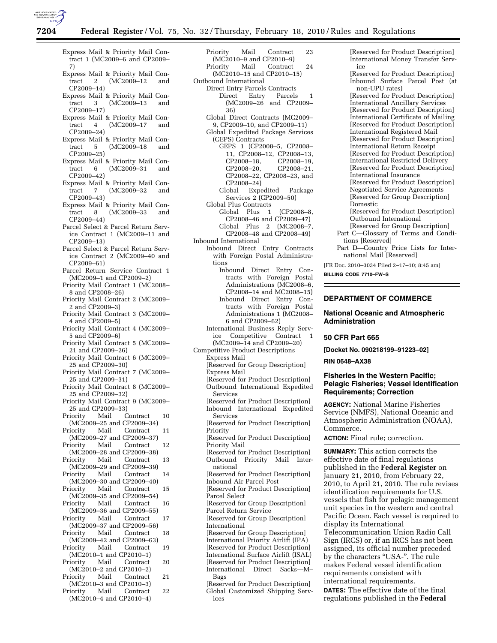

- Express Mail & Priority Mail Contract 1 (MC2009–6 and CP2009– 7) Express Mail & Priority Mail Contract 2 (MC2009–12 and CP2009–14) Express Mail & Priority Mail Con-<br>tract 3 (MC2009-13 and tract 3 (MC2009–13 and CP2009–17) Express Mail & Priority Mail Con-<br>tract 4 (MC2009-17 and tract 4 (MC2009–17 and CP2009–24) Express Mail & Priority Mail Con-5 (MC2009–18 and CP2009–25) Express Mail & Priority Mail Contract 6 (MC2009–31 and CP2009–42) Express Mail & Priority Mail Con-<br>tract 7 (MC2009-32 and  $(MC2009 - 32)$ CP2009–43) Express Mail & Priority Mail Contract 8 (MC2009–33 and CP2009–44) Parcel Select & Parcel Return Service Contract 1 (MC2009–11 and CP2009–13) Parcel Select & Parcel Return Service Contract 2 (MC2009–40 and CP2009–61) Parcel Return Service Contract 1 (MC2009–1 and CP2009–2) Priority Mail Contract 1 (MC2008– 8 and CP2008–26) Priority Mail Contract 2 (MC2009– 2 and CP2009–3) Priority Mail Contract 3 (MC2009– 4 and CP2009–5) Priority Mail Contract 4 (MC2009– 5 and CP2009–6) Priority Mail Contract 5 (MC2009– 21 and CP2009–26) Priority Mail Contract 6 (MC2009– 25 and CP2009–30) Priority Mail Contract 7 (MC2009– 25 and CP2009–31) Priority Mail Contract 8 (MC2009– 25 and CP2009–32) Priority Mail Contract 9 (MC2009– 25 and CP2009–33) Priority Mail Contract 10 (MC2009–25 and CP2009–34)<br>Priority Mail Contract Mail Contract 11 (MC2009–27 and CP2009–37) Priority Mail Contract 12 (MC2009–28 and CP2009–38) Priority Mail Contract 13 (MC2009–29 and CP2009–39) Priority Mail Contract 14 (MC2009–30 and CP2009–40) Priority Mail Contract 15 (MC2009–35 and CP2009–54)<br>Priority Mail Contract Mail Contract 16 (MC2009–36 and CP2009–55) Priority Mail Contract 17 (MC2009–37 and CP2009–56) Priority Mail Contract 18 (MC2009–42 and CP2009–63) Priority Mail Contract 19 (MC2010–1 and CP2010–1) Priority Mail Contract 20 (MC2010–2 and CP2010–2) Priority Mail Contract 21 (MC2010–3 and CP2010–3)<br>Priority Mail Contract Mail Contract 22
- (MC2010–4 and CP2010–4)
- Priority Mail Contract 23 (MC2010–9 and CP2010–9) Priority Mail Contract 24 (MC2010–15 and CP2010–15) Outbound International Direct Entry Parcels Contracts Direct Entry Parcels 1 (MC2009–26 and CP2009– 36) Global Direct Contracts (MC2009– 9, CP2009–10, and CP2009–11) Global Expedited Package Services (GEPS) Contracts GEPS 1 (CP2008–5, CP2008– 11, CP2008–12, CP2008–13, CP2008-19, CP2008–20, CP2008–21, CP2008–22, CP2008–23, and CP2008–24) Global Expedited Package Services 2 (CP2009–50) Global Plus Contracts Global Plus 1 (CP2008–8, CP2008–46 and CP2009–47) Global Plus 2 (MC2008–7, CP2008–48 and CP2008–49) Inbound International Inbound Direct Entry Contracts with Foreign Postal Administrations Inbound Direct Entry Contracts with Foreign Postal Administrations (MC2008–6, CP2008–14 and MC2008–15) Inbound Direct Entry Contracts with Foreign Postal Administrations 1 (MC2008– 6 and CP2009–62) International Business Reply Service Competitive Contract 1 (MC2009–14 and CP2009–20) Competitive Product Descriptions Express Mail [Reserved for Group Description] Express Mail [Reserved for Product Description] Outbound International Expedited Services [Reserved for Product Description] Inbound International Expedited Services [Reserved for Product Description] Priority [Reserved for Product Description] Priority Mail [Reserved for Product Description] Outbound Priority Mail International [Reserved for Product Description] Inbound Air Parcel Post [Reserved for Product Description] Parcel Select [Reserved for Group Description] Parcel Return Service [Reserved for Group Description] International [Reserved for Group Description] International Priority Airlift (IPA) [Reserved for Product Description] International Surface Airlift (ISAL) [Reserved for Product Description] International Direct Sacks—M– Bags [Reserved for Product Description] Global Customized Shipping Services

[Reserved for Product Description] International Money Transfer Service [Reserved for Product Description] Inbound Surface Parcel Post (at

non-UPU rates) [Reserved for Product Description] International Ancillary Services [Reserved for Product Description] International Certificate of Mailing [Reserved for Product Description] International Registered Mail [Reserved for Product Description] International Return Receipt [Reserved for Product Description] International Restricted Delivery [Reserved for Product Description] International Insurance [Reserved for Product Description] Negotiated Service Agreements [Reserved for Group Description] Domestic [Reserved for Product Description] Outbound International [Reserved for Group Description] Part C—Glossary of Terms and Conditions [Reserved]

Part D—Country Price Lists for International Mail [Reserved]

[FR Doc. 2010–3034 Filed 2–17–10; 8:45 am]

**BILLING CODE 7710–FW–S** 

# **DEPARTMENT OF COMMERCE**

### **National Oceanic and Atmospheric Administration**

#### **50 CFR Part 665**

**[Docket No. 090218199–91223–02]** 

### **RIN 0648–AX38**

# **Fisheries in the Western Pacific; Pelagic Fisheries; Vessel Identification Requirements; Correction**

**AGENCY:** National Marine Fisheries Service (NMFS), National Oceanic and Atmospheric Administration (NOAA), Commerce.

**ACTION:** Final rule; correction.

**SUMMARY:** This action corrects the effective date of final regulations published in the **Federal Register** on January 21, 2010, from February 22, 2010, to April 21, 2010. The rule revises identification requirements for U.S. vessels that fish for pelagic management unit species in the western and central Pacific Ocean. Each vessel is required to display its International Telecommunication Union Radio Call Sign (IRCS) or, if an IRCS has not been assigned, its official number preceded by the characters "USA-". The rule makes Federal vessel identification requirements consistent with international requirements. **DATES:** The effective date of the final regulations published in the **Federal**